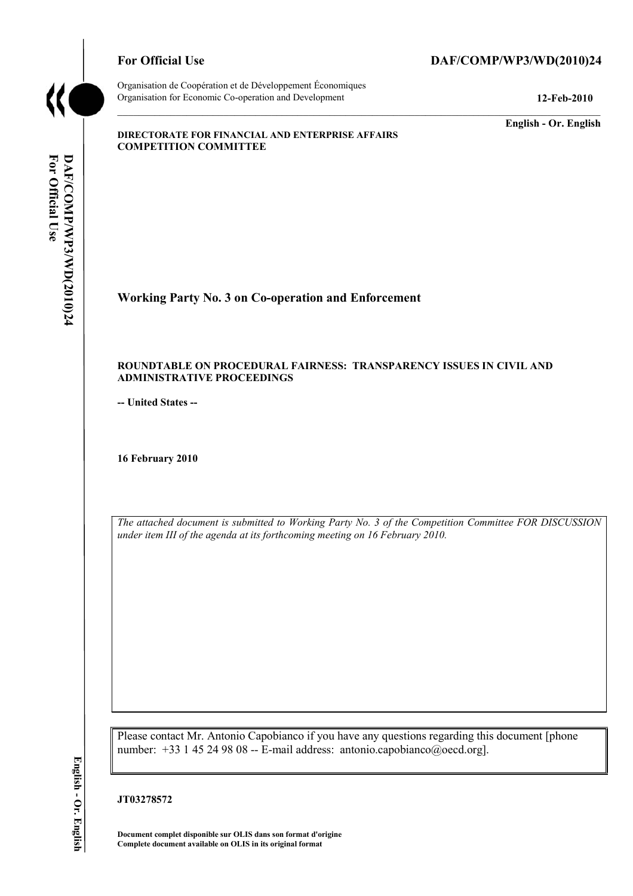

Organisation de Coopération et de Développement Économiques Organisation for Economic Co-operation and Development **12-Feb-2010** 

# For Official Use DAF/COMP/WP3/WD(2010)24

**English - Or. English** 

#### **DIRECTORATE FOR FINANCIAL AND ENTERPRISE AFFAIRS COMPETITION COMMITTEE**

# For Official Use **For Official** DAF/COMP/WP3/WD(2010)24 **DAF/COM P/WP3/WD(2010)24 English - Or. English**

**Working Party No. 3 on Co-operation and Enforcement** 

#### **ROUNDTABLE ON PROCEDURAL FAIRNESS: TRANSPARENCY ISSUES IN CIVIL AND ADMINISTRATIVE PROCEEDINGS**

**-- United States --**

**16 February 2010** 

 *under item III of the agenda at its forthcoming meeting on 16 February 2010. The attached document is submitted to Working Party No. 3 of the Competition Committee FOR DISCUSSION* 

Please contact Mr. Antonio Capobianco if you have any questions regarding this document [phone number: +33 1 45 24 98 08 -- E-mail address: antonio.capobianco@oecd.org].

**JT03278572** 

 **Document complet disponible sur OLIS dans son format d'origine Complete document available on OLIS in its original format**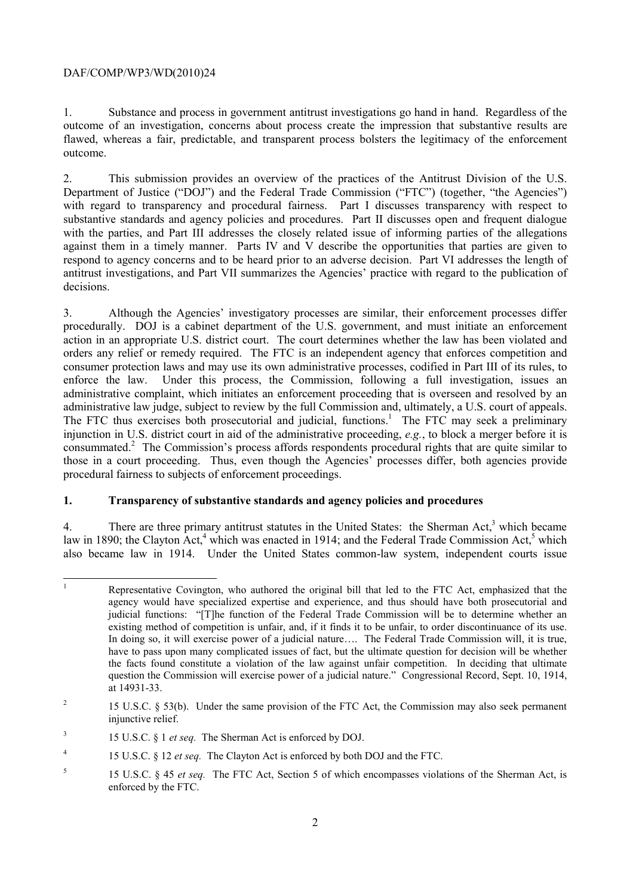$\overline{a}$ 

 1. Substance and process in government antitrust investigations go hand in hand. Regardless of the outcome of an investigation, concerns about process create the impression that substantive results are flawed, whereas a fair, predictable, and transparent process bolsters the legitimacy of the enforcement outcome.

2. This submission provides an overview of the practices of the Antitrust Division of the U.S. Department of Justice ("DOJ") and the Federal Trade Commission ("FTC") (together, "the Agencies") with regard to transparency and procedural fairness. Part I discusses transparency with respect to substantive standards and agency policies and procedures. Part II discusses open and frequent dialogue with the parties, and Part III addresses the closely related issue of informing parties of the allegations against them in a timely manner. Parts IV and V describe the opportunities that parties are given to respond to agency concerns and to be heard prior to an adverse decision. Part VI addresses the length of antitrust investigations, and Part VII summarizes the Agencies' practice with regard to the publication of decisions.

administrative law judge, subject to review by the full Commission and, ultimately, a U.S. court of appeals. 3. Although the Agencies' investigatory processes are similar, their enforcement processes differ procedurally. DOJ is a cabinet department of the U.S. government, and must initiate an enforcement action in an appropriate U.S. district court. The court determines whether the law has been violated and orders any relief or remedy required. The FTC is an independent agency that enforces competition and consumer protection laws and may use its own administrative processes, codified in Part III of its rules, to enforce the law. Under this process, the Commission, following a full investigation, issues an administrative complaint, which initiates an enforcement proceeding that is overseen and resolved by an administrative law judge, subject to review by the full Commission and, ultimately, a U.S. court of appeals.<br>The FTC thus exercises both prosecutorial and judicial, functions.<sup>1</sup> The FTC may seek a preliminary injunction in U.S. district court in aid of the administrative proceeding, *e.g.*, to block a merger before it is consummated.2 The Commission's process affords respondents procedural rights that are quite similar to those in a court proceeding. Thus, even though the Agencies' processes differ, both agencies provide procedural fairness to subjects of enforcement proceedings.

# **1. Transparency of substantive standards and agency policies and procedures**

 also became law in 1914. Under the United States common-law system, independent courts issue 4. There are three primary antitrust statutes in the United States: the Sherman Act, $3$  which became law in 1890; the Clayton  $\text{Act}^4$ , which was enacted in 1914; and the Federal Trade Commission Act,<sup>5</sup> which

 judicial functions: "[T]he function of the Federal Trade Commission will be to determine whether an have to pass upon many complicated issues of fact, but the ultimate question for decision will be whether 1 Representative Covington, who authored the original bill that led to the FTC Act, emphasized that the agency would have specialized expertise and experience, and thus should have both prosecutorial and existing method of competition is unfair, and, if it finds it to be unfair, to order discontinuance of its use. In doing so, it will exercise power of a judicial nature…. The Federal Trade Commission will, it is true, the facts found constitute a violation of the law against unfair competition. In deciding that ultimate question the Commission will exercise power of a judicial nature." Congressional Record, Sept. 10, 1914, at 14931-33.

 $\overline{c}$ injunctive relief. 2 15 U.S.C. § 53(b). Under the same provision of the FTC Act, the Commission may also seek permanent

 $\boldsymbol{\beta}$ 15 U.S.C. § 1 *et seq.* The Sherman Act is enforced by DOJ.

 4 15 U.S.C. § 12 *et seq.* The Clayton Act is enforced by both DOJ and the FTC.

enforced by the FTC. 5 15 U.S.C. § 45 *et seq.* The FTC Act, Section 5 of which encompasses violations of the Sherman Act, is enforced by the FTC.<br>
2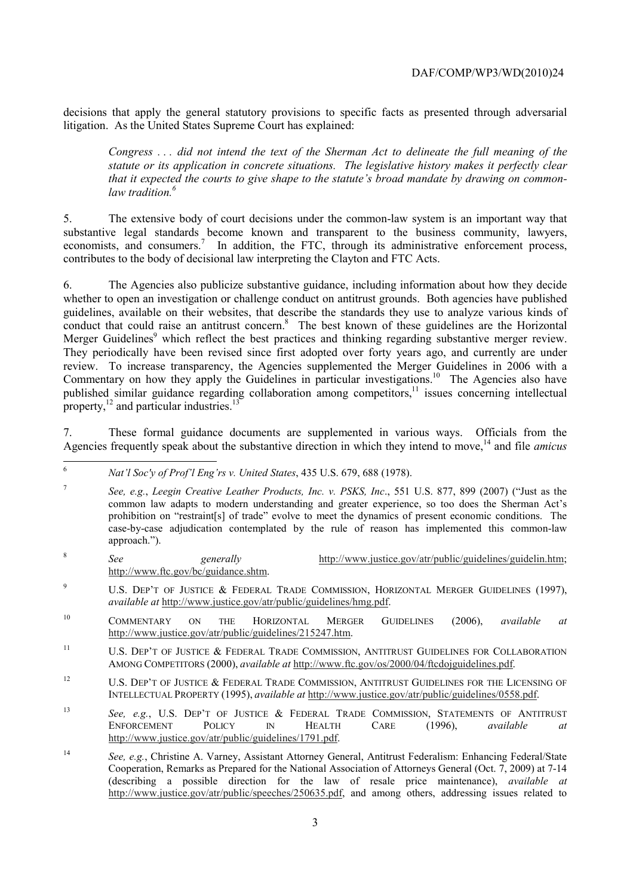decisions that apply the general statutory provisions to specific facts as presented through adversarial litigation. As the United States Supreme Court has explained:

*Congress . . . did not intend the text of the Sherman Act to delineate the full meaning of the statute or its application in concrete situations. The legislative history makes it perfectly clear that it expected the courts to give shape to the statute's broad mandate by drawing on commonlaw tradition.6* 

economists, and consumers.<sup>7</sup> In addition, the FTC, through its administrative enforcement process, 5. The extensive body of court decisions under the common-law system is an important way that substantive legal standards become known and transparent to the business community, lawyers, contributes to the body of decisional law interpreting the Clayton and FTC Acts.

Merger Guidelines<sup>9</sup> which reflect the best practices and thinking regarding substantive merger review. 6. The Agencies also publicize substantive guidance, including information about how they decide whether to open an investigation or challenge conduct on antitrust grounds. Both agencies have published guidelines, available on their websites, that describe the standards they use to analyze various kinds of conduct that could raise an antitrust concern.<sup>8</sup> The best known of these guidelines are the Horizontal They periodically have been revised since first adopted over forty years ago, and currently are under review. To increase transparency, the Agencies supplemented the Merger Guidelines in 2006 with a Commentary on how they apply the Guidelines in particular investigations.<sup>10</sup> The Agencies also have published similar guidance regarding collaboration among competitors,<sup>11</sup> issues concerning intellectual property, $^{12}$  and particular industries.<sup>13</sup>

7. These formal guidance documents are supplemented in various ways. Officials from the Agencies frequently speak about the substantive direction in which they intend to move,<sup>14</sup> and file *amicus* 

<sup>6</sup>*Nat'l Soc'y of Prof'l Eng'rs v. United States*, 435 U.S. 679, 688 (1978).

 common law adapts to modern understanding and greater experience, so too does the Sherman Act's <sup>7</sup>*See, e.g.*, *Leegin Creative Leather Products, Inc. v. PSKS, Inc*., 551 U.S. 877, 899 (2007) ("Just as the prohibition on "restraint[s] of trade" evolve to meet the dynamics of present economic conditions. The case-by-case adjudication contemplated by the rule of reason has implemented this common-law approach.").

- <sup>8</sup>*See generally* http://www.justice.gov/atr/public/guidelines/guidelin.htm; http://www.ftc.gov/bc/guidance.shtm.
- <sup>9</sup> U.S. DEP'T OF JUSTICE & FEDERAL TRADE COMMISSION, HORIZONTAL MERGER GUIDELINES (1997), *available at* http://www.justice.gov/atr/public/guidelines/hmg.pdf.
- 10 COMMENTARY ON THE HORIZONTAL MERGER GUIDELINES (2006), *available at*  http://www.justice.gov/atr/public/guidelines/215247.htm.
- $11$ U.S. DEP'T OF JUSTICE & FEDERAL TRADE COMMISSION, ANTITRUST GUIDELINES FOR COLLABORATION AMONG COMPETITORS (2000), *available at* http://www.ftc.gov/os/2000/04/ftcdojguidelines.pdf.
- <sup>12</sup> U.S. DEP'T OF JUSTICE  $\&$  FEDERAL TRADE COMMISSION, ANTITRUST GUIDELINES FOR THE LICENSING OF INTELLECTUAL PROPERTY (1995), *available at* http://www.justice.gov/atr/public/guidelines/0558.pdf.
- <sup>13</sup>*See, e.g.*, U.S. DEP'T OF JUSTICE & FEDERAL TRADE COMMISSION, STATEMENTS OF ANTITRUST ENFORCEMENT POLICY IN HEALTH CARE (1996), *available at*  http://www.justice.gov/atr/public/guidelines/1791.pdf.
- $14$ <sup>14</sup>*See, e.g.*, Christine A. Varney, Assistant Attorney General, Antitrust Federalism: Enhancing Federal/State Cooperation, Remarks as Prepared for the National Association of Attorneys General (Oct. 7, 2009) at 7-14 (describing a possible direction for the law of resale price maintenance), *available at*  http://www.justice.gov/atr/public/speeches/250635.pdf, and among others, addressing issues related to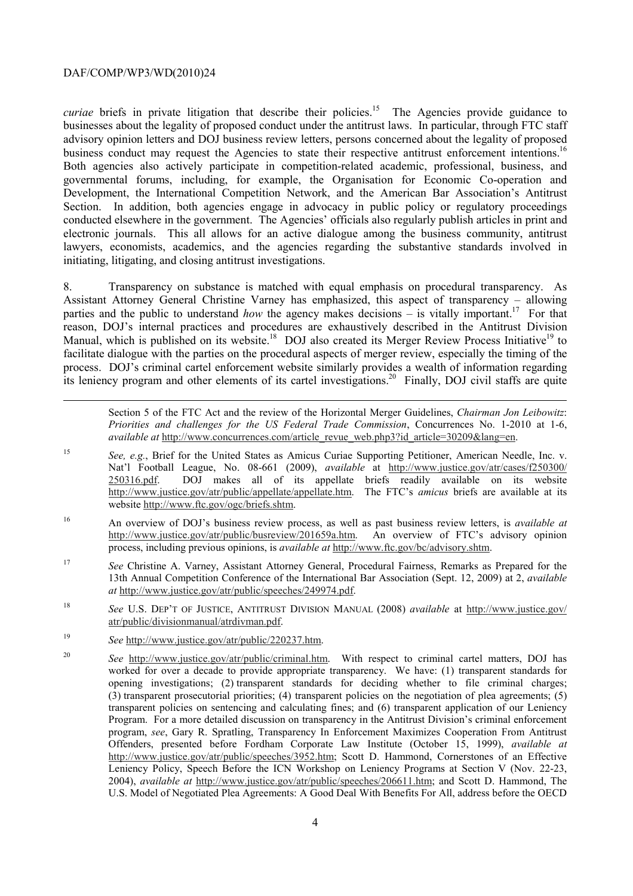1

business conduct may request the Agencies to state their respective antitrust enforcement intentions.<sup>16</sup> *curiae* briefs in private litigation that describe their policies.<sup>15</sup> The Agencies provide guidance to businesses about the legality of proposed conduct under the antitrust laws. In particular, through FTC staff advisory opinion letters and DOJ business review letters, persons concerned about the legality of proposed Both agencies also actively participate in competition-related academic, professional, business, and governmental forums, including, for example, the Organisation for Economic Co-operation and Development, the International Competition Network, and the American Bar Association's Antitrust Section. In addition, both agencies engage in advocacy in public policy or regulatory proceedings conducted elsewhere in the government. The Agencies' officials also regularly publish articles in print and electronic journals. This all allows for an active dialogue among the business community, antitrust lawyers, economists, academics, and the agencies regarding the substantive standards involved in initiating, litigating, and closing antitrust investigations.

8. Transparency on substance is matched with equal emphasis on procedural transparency. As Assistant Attorney General Christine Varney has emphasized, this aspect of transparency – allowing parties and the public to understand *how* the agency makes decisions – is vitally important.<sup>17</sup> For that reason, DOJ's internal practices and procedures are exhaustively described in the Antitrust Division Manual, which is published on its website.<sup>18</sup> DOJ also created its Merger Review Process Initiative<sup>19</sup> to facilitate dialogue with the parties on the procedural aspects of merger review, especially the timing of the process. DOJ's criminal cartel enforcement website similarly provides a wealth of information regarding its leniency program and other elements of its cartel investigations.<sup>20</sup> Finally, DOJ civil staffs are quite

Section 5 of the FTC Act and the review of the Horizontal Merger Guidelines, *Chairman Jon Leibowitz*: *Priorities and challenges for the US Federal Trade Commission*, Concurrences No. 1-2010 at 1-6, *available at http://www.concurrences.com/article\_revue\_web.php3?id\_article=30209&lang=en.* 

- <sup>15</sup>*See, e.g.*, Brief for the United States as Amicus Curiae Supporting Petitioner, American Needle, Inc. v. Nat'l Football League, No. 08-661 (2009), *available* at http://www.justice.gov/atr/cases/f250300/ 250316.pdf. DOJ makes all of its appellate briefs readily available on its website http://www.justice.gov/atr/public/appellate/appellate.htm. The FTC's *amicus* briefs are available at its website http://www.ftc.gov/ogc/briefs.shtm.
- 16 16 An overview of DOJ's business review process, as well as past business review letters, is *available at*  http://www.justice.gov/atr/public/busreview/201659a.htm. An overview of FTC's advisory opinion process, including previous opinions, is *available at* http://www.ftc.gov/bc/advisory.shtm.
- 17 <sup>17</sup>*See* Christine A. Varney, Assistant Attorney General, Procedural Fairness, Remarks as Prepared for the 13th Annual Competition Conference of the International Bar Association (Sept. 12, 2009) at 2, *available at* http://www.justice.gov/atr/public/speeches/249974.pdf.
- 18 <sup>18</sup>*See* U.S. DEP'T OF JUSTICE, ANTITRUST DIVISION MANUAL (2008) *available* at http://www.justice.gov/ atr/public/divisionmanual/atrdivman.pdf.
- 19 <sup>19</sup>*See* http://www.justice.gov/atr/public/220237.htm.
- $20$  program, *see*, Gary R. Spratling, Transparency In Enforcement Maximizes Cooperation From Antitrust <sup>20</sup>*See* http://www.justice.gov/atr/public/criminal.htm. With respect to criminal cartel matters, DOJ has worked for over a decade to provide appropriate transparency. We have: (1) transparent standards for opening investigations; (2) transparent standards for deciding whether to file criminal charges; (3) transparent prosecutorial priorities; (4) transparent policies on the negotiation of plea agreements; (5) transparent policies on sentencing and calculating fines; and (6) transparent application of our Leniency Program. For a more detailed discussion on transparency in the Antitrust Division's criminal enforcement Offenders, presented before Fordham Corporate Law Institute (October 15, 1999), *available at*  http://www.justice.gov/atr/public/speeches/3952.htm; Scott D. Hammond, Cornerstones of an Effective Leniency Policy, Speech Before the ICN Workshop on Leniency Programs at Section V (Nov. 22-23, 2004), *available at* http://www.justice.gov/atr/public/speeches/206611.htm; and Scott D. Hammond, The U.S. Model of Negotiated Plea Agreements: A Good Deal With Benefits For All, address before the OECD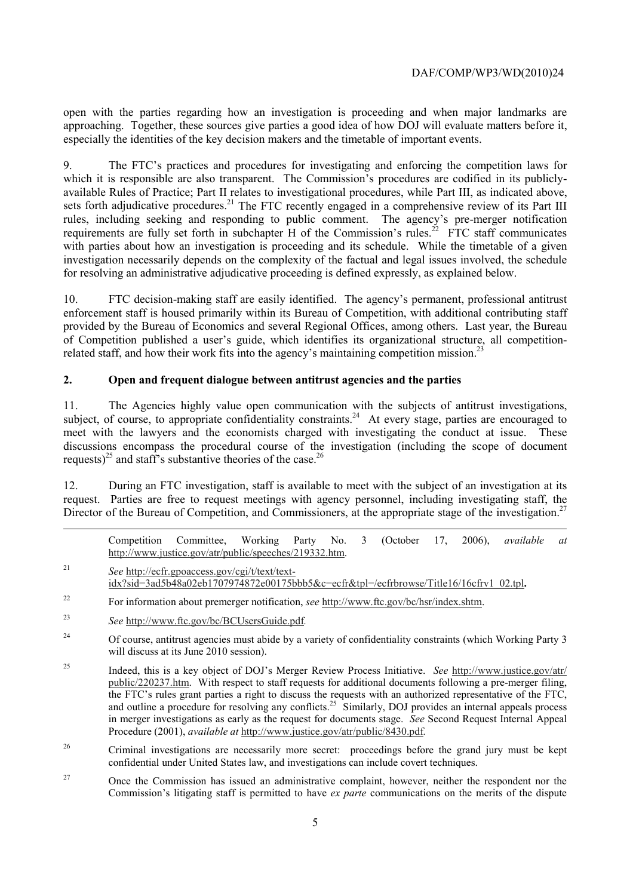especially the identities of the key decision makers and the timetable of important events. open with the parties regarding how an investigation is proceeding and when major landmarks are approaching. Together, these sources give parties a good idea of how DOJ will evaluate matters before it,

 with parties about how an investigation is proceeding and its schedule. While the timetable of a given 9. The FTC's practices and procedures for investigating and enforcing the competition laws for which it is responsible are also transparent. The Commission's procedures are codified in its publiclyavailable Rules of Practice; Part II relates to investigational procedures, while Part III, as indicated above, sets forth adjudicative procedures.<sup>21</sup> The FTC recently engaged in a comprehensive review of its Part III rules, including seeking and responding to public comment. The agency's pre-merger notification requirements are fully set forth in subchapter H of the Commission's rules.<sup>22</sup> FTC staff communicates investigation necessarily depends on the complexity of the factual and legal issues involved, the schedule for resolving an administrative adjudicative proceeding is defined expressly, as explained below.

10. FTC decision-making staff are easily identified. The agency's permanent, professional antitrust enforcement staff is housed primarily within its Bureau of Competition, with additional contributing staff provided by the Bureau of Economics and several Regional Offices, among others. Last year, the Bureau of Competition published a user's guide, which identifies its organizational structure, all competitionrelated staff, and how their work fits into the agency's maintaining competition mission.<sup>2</sup>

### **2. Open and frequent dialogue between antitrust agencies and the parties**

requests)<sup>25</sup> and staff's substantive theories of the case.<sup>26</sup> 11. The Agencies highly value open communication with the subjects of antitrust investigations, subject, of course, to appropriate confidentiality constraints.<sup>24</sup> At every stage, parties are encouraged to meet with the lawyers and the economists charged with investigating the conduct at issue. These discussions encompass the procedural course of the investigation (including the scope of document

Director of the Bureau of Competition, and Commissioners, at the appropriate stage of the investigation.<sup>27</sup> 12. During an FTC investigation, staff is available to meet with the subject of an investigation at its request. Parties are free to request meetings with agency personnel, including investigating staff, the

Competition Committee, Working Party No. 3 (October 17, 2006), *available at*  http://www.justice.gov/atr/public/speeches/219332.htm.

- <sup>21</sup>*See* http://ecfr.gpoaccess.gov/cgi/t/text/textidx?sid=3ad5b48a02eb1707974872e00175bbb5&c=ecfr&tpl=/ecfrbrowse/Title16/16cfrv1\_02.tpl**.**
- 22 For information about premerger notification, *see* http://www.ftc.gov/bc/hsr/index.shtm.
- <sup>23</sup>*See* http://www.ftc.gov/bc/BCUsersGuide.pdf*.*

-

- $24$ 24 Of course, antitrust agencies must abide by a variety of confidentiality constraints (which Working Party 3 will discuss at its June 2010 session).
- 25 Indeed, this is a key object of DOJ's Merger Review Process Initiative. *See* http://www.justice.gov/atr/ public/220237.htm. With respect to staff requests for additional documents following a pre-merger filing, the FTC's rules grant parties a right to discuss the requests with an authorized representative of the FTC, and outline a procedure for resolving any conflicts.<sup>25</sup> Similarly, DOJ provides an internal appeals process in merger investigations as early as the request for documents stage. *See* Second Request Internal Appeal Procedure (2001), *available at* http://www.justice.gov/atr/public/8430.pdf.
- 26 26 Criminal investigations are necessarily more secret: proceedings before the grand jury must be kept confidential under United States law, and investigations can include covert techniques.
- 27 Commission's litigating staff is permitted to have *ex parte* communications on the merits of the dispute 27 Once the Commission has issued an administrative complaint, however, neither the respondent nor the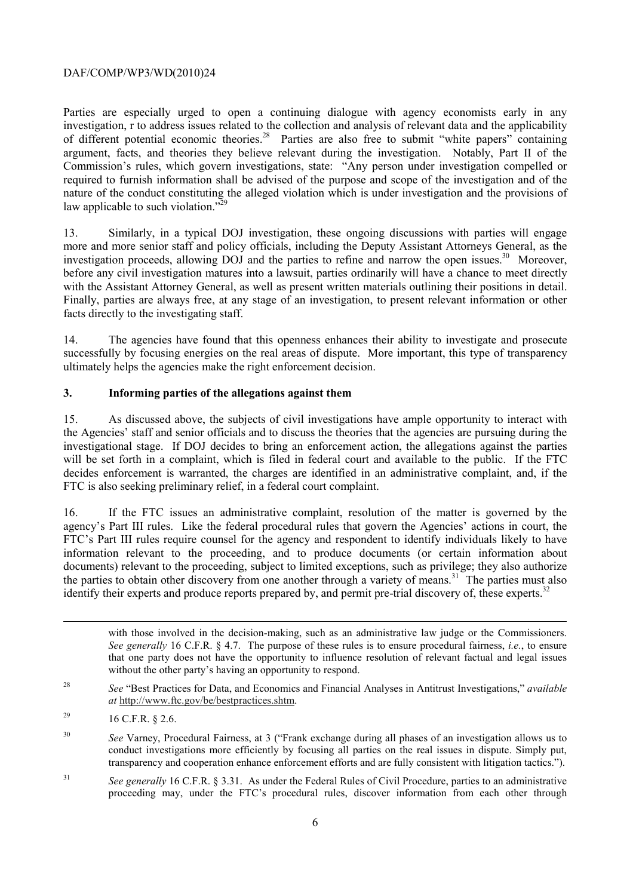Parties are especially urged to open a continuing dialogue with agency economists early in any investigation, r to address issues related to the collection and analysis of relevant data and the applicability of different potential economic theories.<sup>28</sup> Parties are also free to submit "white papers" containing argument, facts, and theories they believe relevant during the investigation. Notably, Part II of the Commission's rules, which govern investigations, state: "Any person under investigation compelled or required to furnish information shall be advised of the purpose and scope of the investigation and of the nature of the conduct constituting the alleged violation which is under investigation and the provisions of law applicable to such violation." $\frac{329}{2}$ 

with the Assistant Attorney General, as well as present written materials outlining their positions in detail. 13. Similarly, in a typical DOJ investigation, these ongoing discussions with parties will engage more and more senior staff and policy officials, including the Deputy Assistant Attorneys General, as the investigation proceeds, allowing DOJ and the parties to refine and narrow the open issues.<sup>30</sup> Moreover, before any civil investigation matures into a lawsuit, parties ordinarily will have a chance to meet directly Finally, parties are always free, at any stage of an investigation, to present relevant information or other facts directly to the investigating staff.

14. The agencies have found that this openness enhances their ability to investigate and prosecute successfully by focusing energies on the real areas of dispute. More important, this type of transparency ultimately helps the agencies make the right enforcement decision.

# **3. Informing parties of the allegations against them**

15. As discussed above, the subjects of civil investigations have ample opportunity to interact with the Agencies' staff and senior officials and to discuss the theories that the agencies are pursuing during the investigational stage. If DOJ decides to bring an enforcement action, the allegations against the parties will be set forth in a complaint, which is filed in federal court and available to the public. If the FTC decides enforcement is warranted, the charges are identified in an administrative complaint, and, if the FTC is also seeking preliminary relief, in a federal court complaint.

 FTC's Part III rules require counsel for the agency and respondent to identify individuals likely to have identify their experts and produce reports prepared by, and permit pre-trial discovery of, these experts.<sup>32</sup> 16. If the FTC issues an administrative complaint, resolution of the matter is governed by the agency's Part III rules. Like the federal procedural rules that govern the Agencies' actions in court, the information relevant to the proceeding, and to produce documents (or certain information about documents) relevant to the proceeding, subject to limited exceptions, such as privilege; they also authorize the parties to obtain other discovery from one another through a variety of means.<sup>31</sup> The parties must also

with those involved in the decision-making, such as an administrative law judge or the Commissioners. *See generally* 16 C.F.R. § 4.7. The purpose of these rules is to ensure procedural fairness, *i.e.*, to ensure that one party does not have the opportunity to influence resolution of relevant factual and legal issues without the other party's having an opportunity to respond.

<sup>28</sup>*See* "Best Practices for Data, and Economics and Financial Analyses in Antitrust Investigations," *available at* http://www.ftc.gov/be/bestpractices.shtm.

-

 $31$ See generally 16 C.F.R. § 3.31. As under the Federal Rules of Civil Procedure, parties to an administrative proceeding may, under the FTC's procedural rules, discover information from each other through

<sup>29</sup> 16 C.F.R. § 2.6.

<sup>30</sup>*See* Varney, Procedural Fairness, at 3 ("Frank exchange during all phases of an investigation allows us to conduct investigations more efficiently by focusing all parties on the real issues in dispute. Simply put, transparency and cooperation enhance enforcement efforts and are fully consistent with litigation tactics.").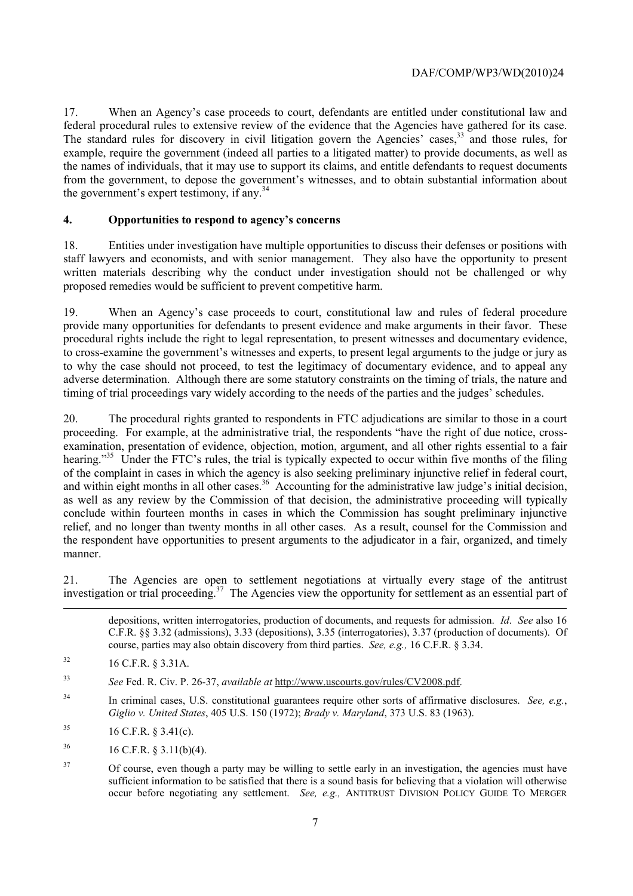federal procedural rules to extensive review of the evidence that the Agencies have gathered for its case. 17. When an Agency's case proceeds to court, defendants are entitled under constitutional law and The standard rules for discovery in civil litigation govern the Agencies' cases,<sup>33</sup> and those rules, for example, require the government (indeed all parties to a litigated matter) to provide documents, as well as the names of individuals, that it may use to support its claims, and entitle defendants to request documents from the government, to depose the government's witnesses, and to obtain substantial information about the government's expert testimony, if any.<sup>34</sup>

# **4. Opportunities to respond to agency's concerns**

18. Entities under investigation have multiple opportunities to discuss their defenses or positions with staff lawyers and economists, and with senior management. They also have the opportunity to present written materials describing why the conduct under investigation should not be challenged or why proposed remedies would be sufficient to prevent competitive harm.

19. When an Agency's case proceeds to court, constitutional law and rules of federal procedure provide many opportunities for defendants to present evidence and make arguments in their favor. These procedural rights include the right to legal representation, to present witnesses and documentary evidence, to cross-examine the government's witnesses and experts, to present legal arguments to the judge or jury as to why the case should not proceed, to test the legitimacy of documentary evidence, and to appeal any adverse determination. Although there are some statutory constraints on the timing of trials, the nature and timing of trial proceedings vary widely according to the needs of the parties and the judges' schedules.

20. The procedural rights granted to respondents in FTC adjudications are similar to those in a court proceeding. For example, at the administrative trial, the respondents "have the right of due notice, crossexamination, presentation of evidence, objection, motion, argument, and all other rights essential to a fair hearing."<sup>35</sup> Under the FTC's rules, the trial is typically expected to occur within five months of the filing of the complaint in cases in which the agency is also seeking preliminary injunctive relief in federal court, and within eight months in all other cases.<sup>36</sup> Accounting for the administrative law judge's initial decision, as well as any review by the Commission of that decision, the administrative proceeding will typically conclude within fourteen months in cases in which the Commission has sought preliminary injunctive relief, and no longer than twenty months in all other cases. As a result, counsel for the Commission and the respondent have opportunities to present arguments to the adjudicator in a fair, organized, and timely manner.

investigation or trial proceeding.<sup>37</sup> The Agencies view the opportunity for settlement as an essential part of 21. The Agencies are open to settlement negotiations at virtually every stage of the antitrust

 course, parties may also obtain discovery from third parties. *See, e.g.,* 16 C.F.R. § 3.34. depositions, written interrogatories, production of documents, and requests for admission. *Id*. *See* also 16 C.F.R. §§ 3.32 (admissions), 3.33 (depositions), 3.35 (interrogatories), 3.37 (production of documents). Of

-

 $32$ 32 16 C.F.R. § 3.31A.

<sup>33</sup>*See* Fed. R. Civ. P. 26-37, *available at* http://www.uscourts.gov/rules/CV2008.pdf.

 *Giglio v. United States*, 405 U.S. 150 (1972); *Brady v. Maryland*, 373 U.S. 83 (1963). 34 In criminal cases, U.S. constitutional guarantees require other sorts of affirmative disclosures. *See, e.g.*,

<sup>35</sup> 35 16 C.F.R. § 3.41(c).

<sup>36</sup> 36 16 C.F.R. § 3.11(b)(4).

 occur before negotiating any settlement. *See, e.g.,* ANTITRUST DIVISION POLICY GUIDE TO MERGER <sup>37</sup> Of course, even though a party may be willing to settle early in an investigation, the agencies must have sufficient information to be satisfied that there is a sound basis for believing that a violation will otherwise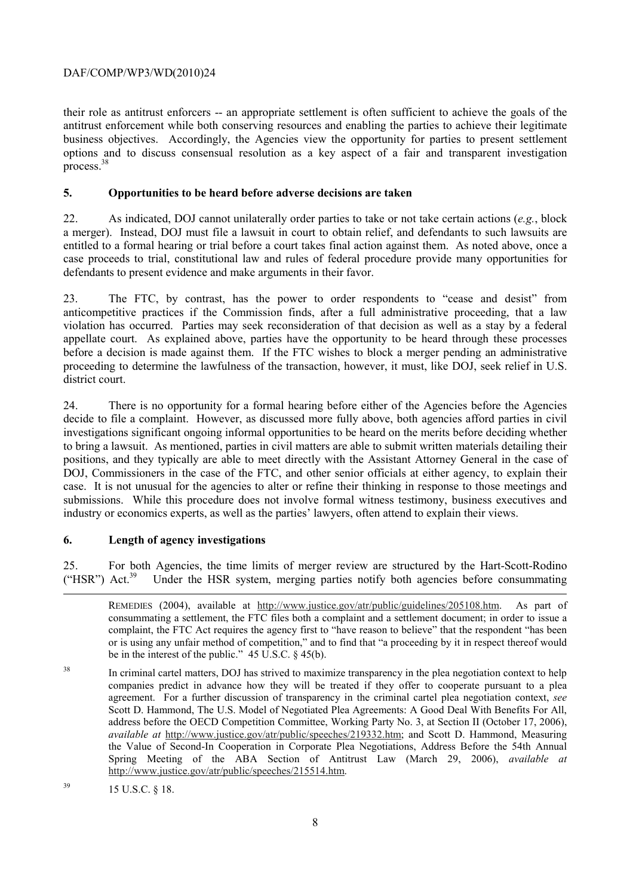options and to discuss consensual resolution as a key aspect of a fair and transparent investigation  $\text{process.}^{38}$ their role as antitrust enforcers -- an appropriate settlement is often sufficient to achieve the goals of the antitrust enforcement while both conserving resources and enabling the parties to achieve their legitimate business objectives. Accordingly, the Agencies view the opportunity for parties to present settlement

### **5. Opportunities to be heard before adverse decisions are taken**

22. As indicated, DOJ cannot unilaterally order parties to take or not take certain actions (*e.g.*, block a merger). Instead, DOJ must file a lawsuit in court to obtain relief, and defendants to such lawsuits are entitled to a formal hearing or trial before a court takes final action against them. As noted above, once a case proceeds to trial, constitutional law and rules of federal procedure provide many opportunities for defendants to present evidence and make arguments in their favor.

23. The FTC, by contrast, has the power to order respondents to "cease and desist" from anticompetitive practices if the Commission finds, after a full administrative proceeding, that a law violation has occurred. Parties may seek reconsideration of that decision as well as a stay by a federal appellate court. As explained above, parties have the opportunity to be heard through these processes before a decision is made against them. If the FTC wishes to block a merger pending an administrative proceeding to determine the lawfulness of the transaction, however, it must, like DOJ, seek relief in U.S. district court.

 case. It is not unusual for the agencies to alter or refine their thinking in response to those meetings and 24. There is no opportunity for a formal hearing before either of the Agencies before the Agencies decide to file a complaint. However, as discussed more fully above, both agencies afford parties in civil investigations significant ongoing informal opportunities to be heard on the merits before deciding whether to bring a lawsuit. As mentioned, parties in civil matters are able to submit written materials detailing their positions, and they typically are able to meet directly with the Assistant Attorney General in the case of DOJ, Commissioners in the case of the FTC, and other senior officials at either agency, to explain their submissions. While this procedure does not involve formal witness testimony, business executives and industry or economics experts, as well as the parties' lawyers, often attend to explain their views.

# **6. Length of agency investigations**

("HSR")  $Act.^{39}$ 25. For both Agencies, the time limits of merger review are structured by the Hart-Scott-Rodino Under the HSR system, merging parties notify both agencies before consummating

-

 REMEDIES (2004), available at http://www.justice.gov/atr/public/guidelines/205108.htm. As part of consummating a settlement, the FTC files both a complaint and a settlement document; in order to issue a complaint, the FTC Act requires the agency first to "have reason to believe" that the respondent "has been or is using any unfair method of competition," and to find that "a proceeding by it in respect thereof would be in the interest of the public." 45 U.S.C. § 45(b).

 companies predict in advance how they will be treated if they offer to cooperate pursuant to a plea  *available at* http://www.justice.gov/atr/public/speeches/219332.htm; and Scott D. Hammond, Measuring the Value of Second-In Cooperation in Corporate Plea Negotiations, Address Before the 54th Annual <sup>38</sup> In criminal cartel matters, DOJ has strived to maximize transparency in the plea negotiation context to help agreement. For a further discussion of transparency in the criminal cartel plea negotiation context, *see*  Scott D. Hammond, The U.S. Model of Negotiated Plea Agreements: A Good Deal With Benefits For All, address before the OECD Competition Committee, Working Party No. 3, at Section II (October 17, 2006), Spring Meeting of the ABA Section of Antitrust Law (March 29, 2006), *available at*  http://www.justice.gov/atr/public/speeches/215514.htm.

 $15 \text{ U.S.C. }$  § 18.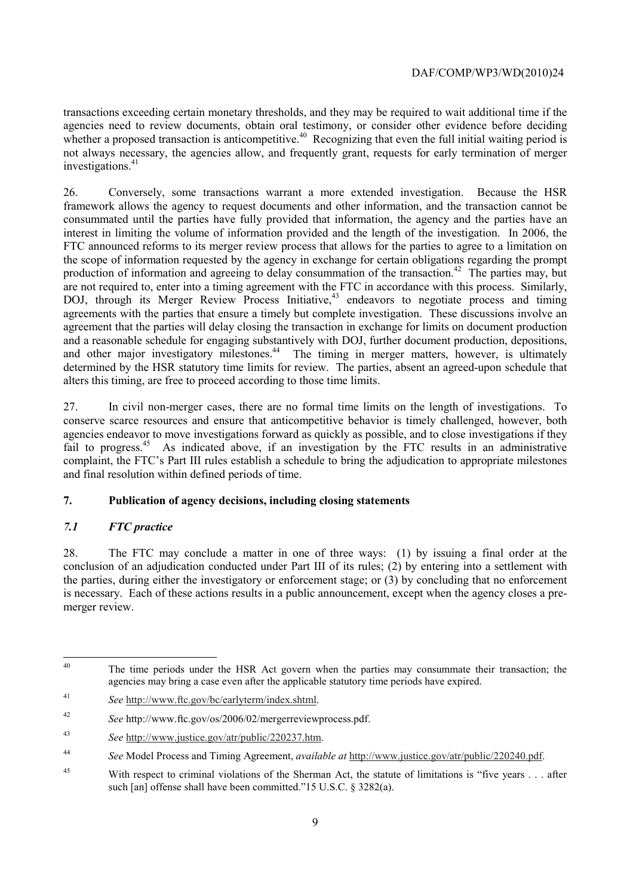investigations.<sup>41</sup> transactions exceeding certain monetary thresholds, and they may be required to wait additional time if the agencies need to review documents, obtain oral testimony, or consider other evidence before deciding whether a proposed transaction is anticompetitive.<sup>40</sup> Recognizing that even the full initial waiting period is not always necessary, the agencies allow, and frequently grant, requests for early termination of merger

26. Conversely, some transactions warrant a more extended investigation. Because the HSR framework allows the agency to request documents and other information, and the transaction cannot be consummated until the parties have fully provided that information, the agency and the parties have an interest in limiting the volume of information provided and the length of the investigation. In 2006, the FTC announced reforms to its merger review process that allows for the parties to agree to a limitation on the scope of information requested by the agency in exchange for certain obligations regarding the prompt production of information and agreeing to delay consummation of the transaction.<sup>42</sup> The parties may, but are not required to, enter into a timing agreement with the FTC in accordance with this process. Similarly, DOJ, through its Merger Review Process Initiative,<sup>43</sup> endeavors to negotiate process and timing agreements with the parties that ensure a timely but complete investigation. These discussions involve an agreement that the parties will delay closing the transaction in exchange for limits on document production and a reasonable schedule for engaging substantively with DOJ, further document production, depositions, and other major investigatory milestones.<sup>44</sup> The timing in merger matters, however, is ultimately determined by the HSR statutory time limits for review. The parties, absent an agreed-upon schedule that alters this timing, are free to proceed according to those time limits.

 agencies endeavor to move investigations forward as quickly as possible, and to close investigations if they 27. In civil non-merger cases, there are no formal time limits on the length of investigations. To conserve scarce resources and ensure that anticompetitive behavior is timely challenged, however, both fail to progress.<sup>45</sup> As indicated above, if an investigation by the FTC results in an administrative complaint, the FTC's Part III rules establish a schedule to bring the adjudication to appropriate milestones and final resolution within defined periods of time.

# **7. Publication of agency decisions, including closing statements**

# *7.1 FTC practice*

28. The FTC may conclude a matter in one of three ways: (1) by issuing a final order at the conclusion of an adjudication conducted under Part III of its rules; (2) by entering into a settlement with the parties, during either the investigatory or enforcement stage; or (3) by concluding that no enforcement is necessary. Each of these actions results in a public announcement, except when the agency closes a premerger review.

 The time periods under the HSR Act govern when the parties may consummate their transaction; the agencies may bring a case even after the applicable statutory time periods have expired.

 $41$ <sup>41</sup>*See* http://www.ftc.gov/bc/earlyterm/index.shtml.

<sup>42</sup>*See* http://www.ftc.gov/os/2006/02/mergerreviewprocess.pdf.

<sup>43</sup> <sup>43</sup>*See* http://www.justice.gov/atr/public/220237.htm.

 <sup>44</sup> *See* Model Process and Timing Agreement, *available at* http://www.justice.gov/atr/public/220240.pdf.

<sup>&</sup>lt;sup>45</sup> With respect to criminal violations of the Sherman Act, the statute of limitations is "five years . . . after such [an] offense shall have been committed."15 U.S.C. § 3282(a).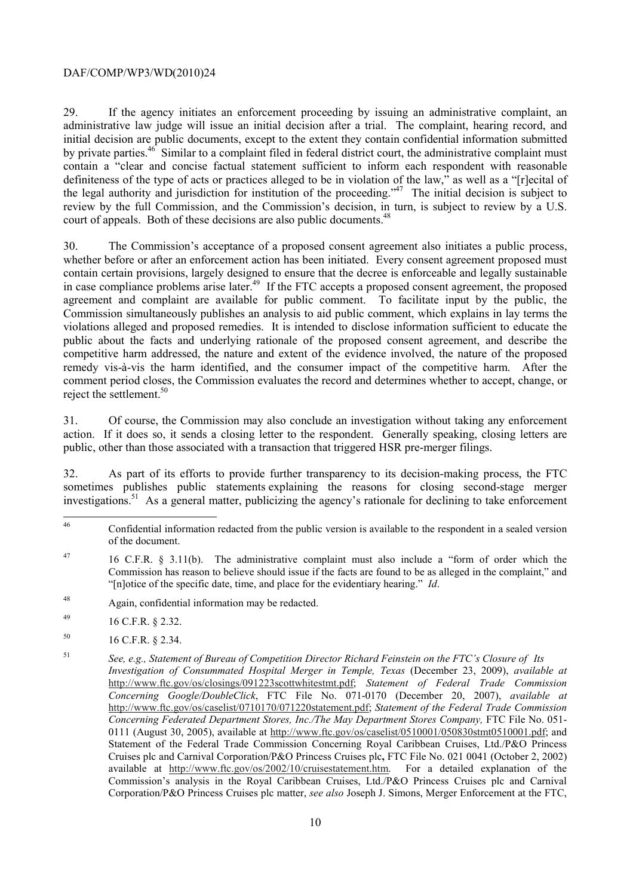court of appeals. Both of these decisions are also public documents.<sup>48</sup> 29. If the agency initiates an enforcement proceeding by issuing an administrative complaint, an administrative law judge will issue an initial decision after a trial. The complaint, hearing record, and initial decision are public documents, except to the extent they contain confidential information submitted by private parties.<sup>46</sup> Similar to a complaint filed in federal district court, the administrative complaint must contain a "clear and concise factual statement sufficient to inform each respondent with reasonable definiteness of the type of acts or practices alleged to be in violation of the law," as well as a "[r]ecital of the legal authority and jurisdiction for institution of the proceeding."47 The initial decision is subject to review by the full Commission, and the Commission's decision, in turn, is subject to review by a U.S.

reject the settlement.<sup>50</sup> 30. The Commission's acceptance of a proposed consent agreement also initiates a public process, whether before or after an enforcement action has been initiated. Every consent agreement proposed must contain certain provisions, largely designed to ensure that the decree is enforceable and legally sustainable in case compliance problems arise later.<sup>49</sup> If the FTC accepts a proposed consent agreement, the proposed agreement and complaint are available for public comment. To facilitate input by the public, the Commission simultaneously publishes an analysis to aid public comment, which explains in lay terms the violations alleged and proposed remedies. It is intended to disclose information sufficient to educate the public about the facts and underlying rationale of the proposed consent agreement, and describe the competitive harm addressed, the nature and extent of the evidence involved, the nature of the proposed remedy vis-à-vis the harm identified, and the consumer impact of the competitive harm. After the comment period closes, the Commission evaluates the record and determines whether to accept, change, or

31. Of course, the Commission may also conclude an investigation without taking any enforcement action. If it does so, it sends a closing letter to the respondent. Generally speaking, closing letters are public, other than those associated with a transaction that triggered HSR pre-merger filings.

32. As part of its efforts to provide further transparency to its decision-making process, the FTC sometimes publishes public statements explaining the reasons for closing second-stage merger investigations.<sup>51</sup> As a general matter, publicizing the agency's rationale for declining to take enforcement

50 16 C.F.R. § 2.34.

of the document. 46 Confidential information redacted from the public version is available to the respondent in a sealed version

<sup>47</sup> 16 C.F.R.  $§$  3.11(b). The administrative complaint must also include a "form of order which the Commission has reason to believe should issue if the facts are found to be as alleged in the complaint," and "[n]otice of the specific date, time, and place for the evidentiary hearing." *Id*.

<sup>48</sup> Again, confidential information may be redacted.

<sup>49 16</sup> C.F.R. § 2.32.

<sup>51</sup>  Statement of the Federal Trade Commission Concerning Royal Caribbean Cruises, Ltd./P&O Princess Commission's analysis in the Royal Caribbean Cruises, Ltd./P&O Princess Cruises plc and Carnival <sup>51</sup>*See, e.g., Statement of Bureau of Competition Director Richard Feinstein on the FTC's Closure of Its Investigation of Consummated Hospital Merger in Temple, Texas* (December 23, 2009), *available at*  http://www.ftc.gov/os/closings/091223scottwhitestmt.pdf; *Statement of Federal Trade Commission Concerning Google/DoubleClick*, FTC File No. 071-0170 (December 20, 2007), *available at*  http://www.ftc.gov/os/caselist/0710170/071220statement.pdf; *Statement of the Federal Trade Commission Concerning Federated Department Stores, Inc./The May Department Stores Company,* FTC File No. 051- 0111 (August 30, 2005), available at http://www.ftc.gov/os/caselist/0510001/050830stmt0510001.pdf; and Cruises plc and Carnival Corporation/P&O Princess Cruises plc**,** FTC File No. 021 0041 (October 2, 2002) available at http://www.ftc.gov/os/2002/10/cruisestatement.htm. For a detailed explanation of the Corporation/P&O Princess Cruises plc matter, *see also* Joseph J. Simons, Merger Enforcement at the FTC,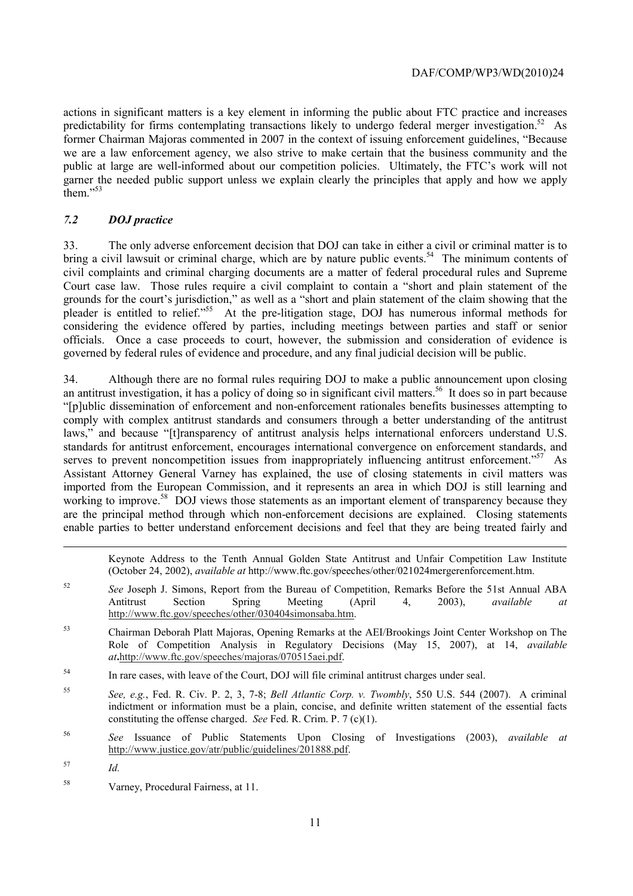former Chairman Majoras commented in 2007 in the context of issuing enforcement guidelines, "Because actions in significant matters is a key element in informing the public about FTC practice and increases predictability for firms contemplating transactions likely to undergo federal merger investigation.<sup>52</sup> As we are a law enforcement agency, we also strive to make certain that the business community and the public at large are well-informed about our competition policies. Ultimately, the FTC's work will not garner the needed public support unless we explain clearly the principles that apply and how we apply them."<sup>53</sup>

# *7.2 DOJ practice*

 Court case law. Those rules require a civil complaint to contain a "short and plain statement of the 33. The only adverse enforcement decision that DOJ can take in either a civil or criminal matter is to bring a civil lawsuit or criminal charge, which are by nature public events.<sup>54</sup> The minimum contents of civil complaints and criminal charging documents are a matter of federal procedural rules and Supreme grounds for the court's jurisdiction," as well as a "short and plain statement of the claim showing that the pleader is entitled to relief."55 At the pre-litigation stage, DOJ has numerous informal methods for considering the evidence offered by parties, including meetings between parties and staff or senior officials. Once a case proceeds to court, however, the submission and consideration of evidence is governed by federal rules of evidence and procedure, and any final judicial decision will be public.

 "[p]ublic dissemination of enforcement and non-enforcement rationales benefits businesses attempting to 34. Although there are no formal rules requiring DOJ to make a public announcement upon closing an antitrust investigation, it has a policy of doing so in significant civil matters.<sup>56</sup> It does so in part because comply with complex antitrust standards and consumers through a better understanding of the antitrust laws," and because "[t]ransparency of antitrust analysis helps international enforcers understand U.S. standards for antitrust enforcement, encourages international convergence on enforcement standards, and serves to prevent noncompetition issues from inappropriately influencing antitrust enforcement."<sup>57</sup> As Assistant Attorney General Varney has explained, the use of closing statements in civil matters was imported from the European Commission, and it represents an area in which DOJ is still learning and working to improve.<sup>58</sup> DOJ views those statements as an important element of transparency because they are the principal method through which non-enforcement decisions are explained. Closing statements enable parties to better understand enforcement decisions and feel that they are being treated fairly and

Keynote Address to the Tenth Annual Golden State Antitrust and Unfair Competition Law Institute (October 24, 2002), *available at* http://www.ftc.gov/speeches/other/021024mergerenforcement.htm.

- <sup>52</sup>*See* Joseph J. Simons, Report from the Bureau of Competition, Remarks Before the 51st Annual ABA Antitrust Section Spring Meeting (April 4, 2003), *available at*  http://www.ftc.gov/speeches/other/030404simonsaba.htm.
- 53 Chairman Deborah Platt Majoras, Opening Remarks at the AEI/Brookings Joint Center Workshop on The Role of Competition Analysis in Regulatory Decisions (May 15, 2007), at 14, *available at***.**http://www.ftc.gov/speeches/majoras/070515aei.pdf.
- <sup>54</sup> In rare cases, with leave of the Court, DOJ will file criminal antitrust charges under seal.
- constituting the offense charged. *See* Fed. R. Crim. P. 7 (c)(1). <sup>55</sup>*See, e.g.*, Fed. R. Civ. P. 2, 3, 7-8; *Bell Atlantic Corp. v. Twombly*, 550 U.S. 544 (2007). A criminal indictment or information must be a plain, concise, and definite written statement of the essential facts
- 56 <sup>56</sup>*See* Issuance of Public Statements Upon Closing of Investigations (2003), *available at*  http://www.justice.gov/atr/public/guidelines/201888.pdf.

-

58 Varney, Procedural Fairness, at 11.

<sup>57</sup>*Id.*